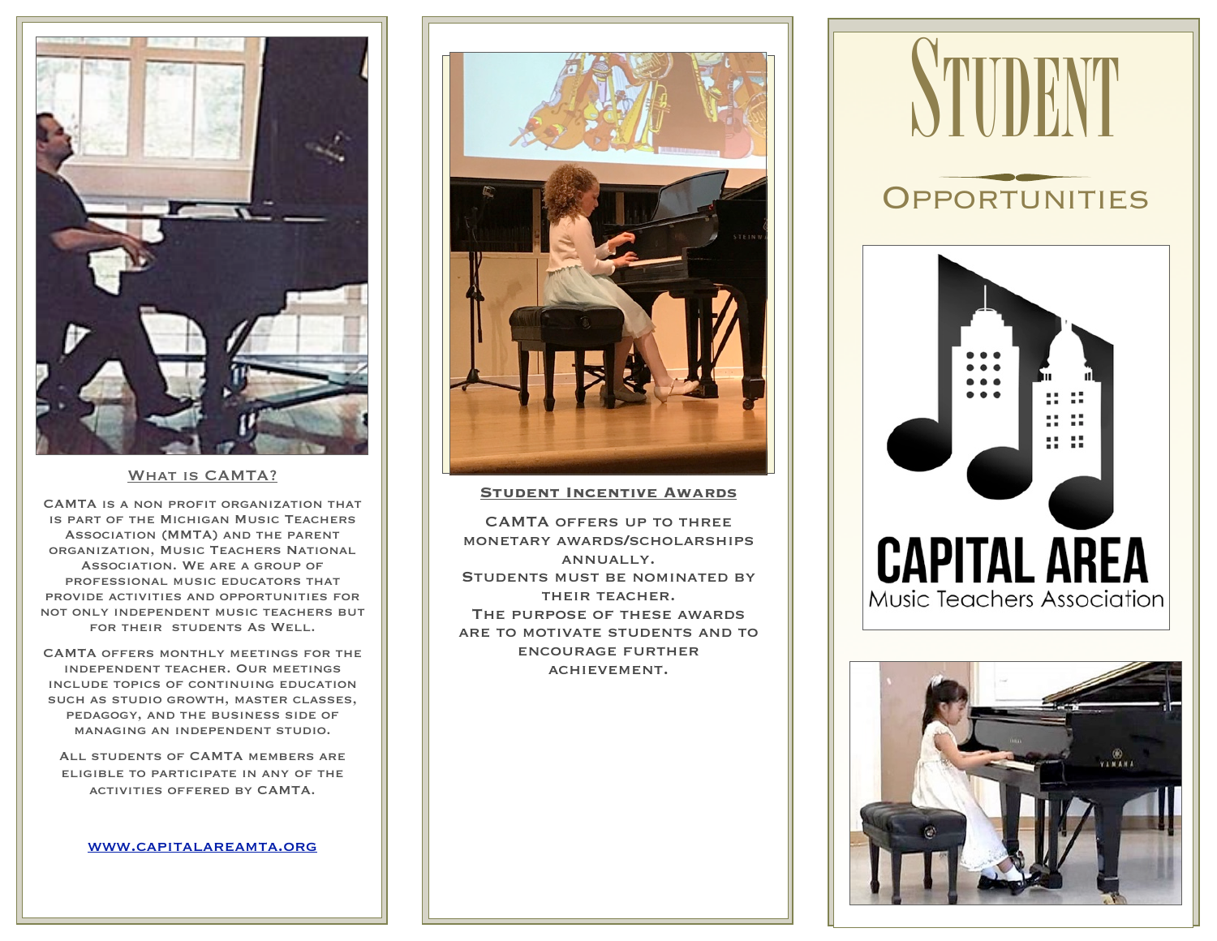

#### WHAT IS CAMTA?

CAMTA is a non profit organization that is part of the Michigan Music Teachers Association (MMTA) and the parent organization, Music Teachers National Association. We are a group of professional music educators that provide activities and opportunities for not only independent music teachers but for their students As Well.

CAMTA offers monthly meetings for the independent teacher. Our meetings include topics of continuing education such as studio growth, master classes, pedagogy, and the business side of managing an independent studio.

All students of CAMTA members are eligible to participate in any of the activities offered by CAMTA.

#### [www.capitalareamta.org](http://www.capitalareamta.org)



#### **Student Incentive Awards**

CAMTA offers up to three monetary awards/scholarships annually. STUDENTS MUST BE NOMINATED BY their teacher. The purpose of these awards are to motivate students and to encourage further achievement.